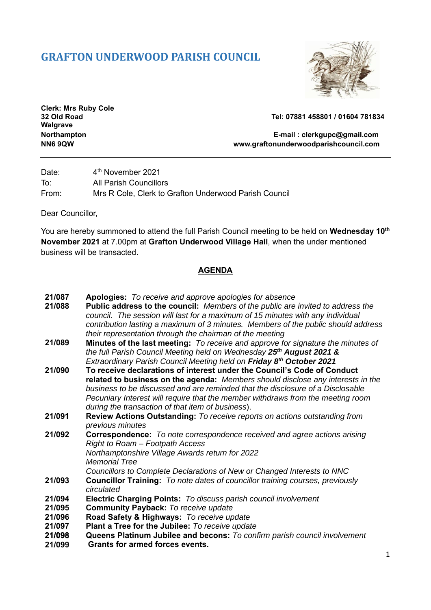## **GRAFTON UNDERWOOD PARISH COUNCIL**



**Clerk: Mrs Ruby Cole Walgrave**

**32 Old Road Tel: 07881 458801 / 01604 781834**

**Northampton E-mail : [clerkgupc@gmail.com](mailto:clerkgupc@gmail.com) NN6 9QW www.graftonunderwoodparishcouncil.com**

Date:  $4<sup>th</sup>$  November 2021 To: All Parish Councillors From: Mrs R Cole, Clerk to Grafton Underwood Parish Council

Dear Councillor,

You are hereby summoned to attend the full Parish Council meeting to be held on **Wednesday 10th November 2021** at 7.00pm at **Grafton Underwood Village Hall**, when the under mentioned business will be transacted.

## **AGENDA**

- **21/087 Apologies:** *To receive and approve apologies for absence*
- **21/088 Public address to the council:** *Members of the public are invited to address the council. The session will last for a maximum of 15 minutes with any individual contribution lasting a maximum of 3 minutes. Members of the public should address their representation through the chairman of the meeting*
- **21/089 Minutes of the last meeting:** *To receive and approve for signature the minutes of the full Parish Council Meeting held on Wednesday 25th August 2021 & Extraordinary Parish Council Meeting held on Friday 8th October 2021*
- **21/090 To receive declarations of interest under the Council's Code of Conduct related to business on the agenda:** *Members should disclose any interests in the business to be discussed and are reminded that the disclosure of a Disclosable Pecuniary Interest will require that the member withdraws from the meeting room during the transaction of that item of business*).
- **21/091 Review Actions Outstanding:** *To receive reports on actions outstanding from previous minutes*
- **21/092 21/093 Correspondence:** *To note correspondence received and agree actions arising Right to Roam – Footpath Access Northamptonshire Village Awards return for 2022 Memorial Tree Councillors to Complete Declarations of New or Changed Interests to NNC*
- **Councillor Training:** *To note dates of councillor training courses, previously circulated*
- **21/094 Electric Charging Points:** *To discuss parish council involvement*
- **21/095 Community Payback:** *To receive update*
- **21/096 Road Safety & Highways:** *To receive update*
- **21/097 Plant a Tree for the Jubilee:** *To receive update*
- **21/098 Queens Platinum Jubilee and becons:** *To confirm parish council involvement*
- **21/099 Grants for armed forces events.**